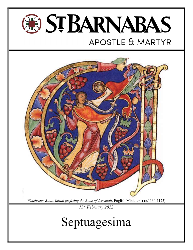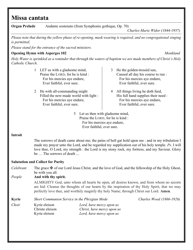## Missa cantata

**Organ Prelude** Andante sostenuto (from Symphonie gothique, Op. 70) Please note that during the yellow phase of re-opening, mask wearing is required, and no congregational singing is permitted. Please stand for the entrance of the sacred ministers. **Opening Hymn with Asperges 102** Monkland Holy Water is sprinkled as a reminder that through the waters of baptism we are made members of Christ's Holy Catholic Church. 1 LET us with a gladsome mind, Praise the LORD, for he is kind : For his mercies aye endure, Ever faithful, ever sure. 2 He with all-commanding might Filled the new-made world with light : For his mercies aye endure, Ever faithful, ever sure. 3 He the golden-tressèd sun, Caused all day his course to run : For his mercies aye endure, Ever faithful, ever sure. 4 All things living he doth feed, His full hand supplies their need : For his mercies aye endure, Ever faithful, ever sure. 5 Let us then with gladsome mind, Praise the LORD, for he is kind : For his mercies aye endure, Ever faithful, ever sure. Introit The sorrows of death came about me; the pains of hell gat hold upon me : and in my tribulation I made my prayer unto the Lord, and he regarded my supplication out of his holy temple. Ps. I will love thee, O Lord, my strength : the Lord is my stony rock, my fortress, and my Saviour. Glory be … The sorrows of death ... Salutation and Collect for Purity *Celebrant* The grace  $\ddot{\mathbf{F}}$  of our Lord Jesus Christ, and the love of God, and the fellowship of the Holy Ghost, be with you all. People And with thy spirit. ALMIGHTY God, unto whom all hearts be open, all desires known, and from whom no secrets are hid: Cleanse the thoughts of our hearts by the inspiration of thy Holy Spirit, that we may perfectly love thee, and worthily magnify thy holy Name; through Christ our Lord. Amen.

Kyrie Short Communion Service in the Phrygian Mode Charles Wood (1866-1926)

Choir Kyrie eleison Lord, have mercy upon us Christe eleison Christ, have mercy upon us Kyrie eleison Lord, have mercy upon us

Charles-Marie Widor (1844-1937)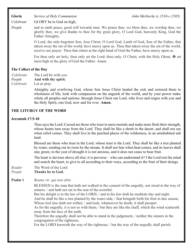Gloria Service of Holy Communion John Merbecke (c.1510-c.1585)

Celebrant GLORY be to God on high,

People and in earth peace, good will towards men. We praise thee, we bless thee, we worship thee, we glorify thee, we give thanks to thee for thy great glory, O Lord God, heavenly King, God the Father Almighty.

> O Lord, the only-begotten Son, Jesu Christ; O Lord God, Lamb of God, Son of the Father, that takest away the sin of the world, have mercy upon us. Thou that takest away the sin of the world, receive our prayer. Thou that sittest at the right hand of God the Father, have mercy upon us.

> For thou only art holy; thou only art the Lord; thou only, O Christ, with the Holy Ghost,  $\mathbf{\Psi}$  art most high in the glory of God the Father. Amen.

#### The Collect of the Day

Celebrant The Lord be with you

People And with thy spirit.

Celebrant Let us pray.

 Almighty and everliving God, whose Son Jesus Christ healed the sick and restored them to wholeness of life, look with compassion on the anguish of the world, and by your power make whole all peoples and nations; through Jesus Christ our Lord, who lives and reigns with you and the Holy Spirit, one God, now and for ever. Amen.

#### THE LITURGY OF THE WORD

#### Jeremiah 17:5-10

 Thus says the Lord: Cursed are those who trust in mere mortals and make mere flesh their strength, whose hearts turn away from the Lord. They shall be like a shrub in the desert, and shall not see when relief comes. They shall live in the parched places of the wilderness, in an uninhabited salt land.

 Blessed are those who trust in the Lord, whose trust is the Lord. They shall be like a tree planted by water, sending out its roots by the stream. It shall not fear when heat comes, and its leaves shall stay green; in the year of drought it is not anxious, and it does not cease to bear fruit.

 The heart is devious above all else; it is perverse – who can understand it? I the Lord test the mind and search the heart, to give to all according to their ways, according to the fruit of their doings.

Reader The Word of the Lord

People Thanks be to God.

**Psalm 1** Beatus vir, qui non abiit.

BLESSED is the man that hath not walked in the counsel of the ungodly, nor stood in the way of sinners, / and hath not sat in the seat of the scornful.

But his delight is in the law of the LORD; / and in his law doth he meditate day and night. And he shall be like a tree planted by the water-side, / that bringeth forth his fruit in due season, Whose leaf also doth not wither; / and look, whatsoever he doeth, it shall prosper.

As for the ungodly, it is not so with them; / but they are like the chaff, which the wind scattereth away from the face of the earth.

Therefore the ungodly shall not be able to stand in the judgement, / neither the sinners in the congregation of the righteous.

For the LORD knoweth the way of the righteous; / but the way of the ungodly shall perish.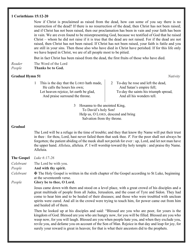#### 1 Corinthians 15:12-20

 Now if Christ is proclaimed as raised from the dead, how can some of you say there is no resurrection of the dead? If there is no resurrection of the dead, then Christ has not been raised; and if Christ has not been raised, then our proclamation has been in vain and your faith has been in vain. We are even found to be misrepresenting God, because we testified of God that he raised Christ – whom he did not raise if it is true that the dead are not raised. For if the dead are not raised, then Christ has not been raised. If Christ has not been raised, your faith is futile and you are still in your sins. Then those also who have died in Christ have perished. If for this life only we have hoped in Christ, we are of all people most to be pitied.

But in fact Christ has been raised from the dead, the first fruits of those who have died.

- Reader The Word of the Lord
- People Thanks be to God.

#### Gradual Hymn 51 Nativity

1 This is the day that the LORD hath made, He calls the hours his own; Let heaven rejoice, let earth be glad, And praise surround the throne.

2 To-day he rose and left the dead, And Satan's empire fell; To-day the saints his triumph spread, And all his wonders tell.

3 Hosanna to the anointed King, To David's holy Son! Help us, O LORD, descend and bring Salvation from thy throne.

#### Gradual

The Lord will be a refuge in the time of trouble; and they that know thy Name will put their trust in thee : for thou, Lord, hast never failed them that seek thee.  $\mathcal{V}$ . For the poor shall not always be forgotten; the patient abiding of the meek shall not perish for ever : up, Lord, and let not man have the upper hand. Alleluia, alleluia.  $V$ . I will worship toward thy holy temple : and praise thy Name. Alleluia.

The Gospel Luke 6:17-26

Celebrant The Lord be with you.

People **And with thy spirit.** 

Celebrant  $\mathbf \Psi$  The Holy Gospel is written in the sixth chapter of the Gospel according to St Luke, beginning at the seventeenth verse.

People Glory be to thee, O Lord.

 Jesus came down with them and stood on a level place, with a great crowd of his disciples and a great multitude of people from all Judea, Jerusalem, and the coast of Tyre and Sidon. They had come to hear him and to be healed of their diseases; and those who were troubled with unclean spirits were cured. And all in the crowd were trying to touch him, for power came out from him and healed all of them.

 Then he looked up at his disciples and said: "Blessed are you who are poor, for yours is the kingdom of God. Blessed are you who are hungry now, for you will be filled. Blessed are you who weep now, for you will laugh. Blessed are you when people hate you, and when they exclude you, revile you, and defame you on account of the Son of Man. Rejoice in that day and leap for joy, for surely your reward is great in heaven; for that is what their ancestors did to the prophets.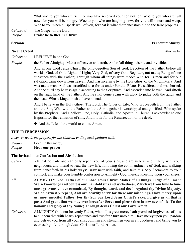"But woe to you who are rich, for you have received your consolation. Woe to you who are full now, for you will be hungry. Woe to you who are laughing now, for you will mourn and weep. Woe to you when all speak well of you, for that is what their ancestors did to the false prophets."

Celebrant The Gospel of the Lord. People Praise be to thee, O Christ.

#### Nicene Creed Merbecke and the settlement of the settlement of the Merbecke method of the Merbecke method of the Merbecke method of the Merbecke method of the Merbecke method of the Merbecke method of the Merbecke method of

Celebrant I BELIEVE in one God

People the Father Almighty, Maker of heaven and earth, And of all things visible and invisible:

 And in one Lord Jesus Christ, the only-begotten Son of God, Begotten of the Father before all worlds; God, of God; Light, of Light; Very God, of very God; Begotten, not made; Being of one substance with the Father; Through whom all things were made: Who for us men and for our salvation came down from heaven, And was incarnate by the Holy Ghost of the Virgin Mary, And was made man, And was crucified also for us under Pontius Pilate. He suffered and was buried, And the third day he rose again according to the Scriptures, And ascended into heaven, And sitteth on the right hand of the Father. And he shall come again with glory to judge both the quick and the dead: Whose kingdom shall have no end.

And I believe in the Holy Ghost, The Lord, The Giver of Life, Who proceedeth from the Father and the Son, Who with the Father and the Son together is worshipped and glorified, Who spake by the Prophets. And I believe One, Holy, Catholic, and Apostolic Church. I acknowledge one Baptism for the remission of sins. And I look for the Resurrection of the dead,

✠ And the Life of the world to come. Amen.

#### THE INTERCESSION

A server leads the prayers for the Church, ending each petition with:

Reader Lord, in thy mercy, People **Hear our prayer.** 

#### The Invitation to Confession and Absolution

- Celebrant YE that do truly and earnestly repent you of your sins, and are in love and charity with your neighbours, and intend to lead the new life, following the commandments of God, and walking from henceforth in his holy ways: Draw near with faith, and take this holy Sacrament to your comfort; and make your humble confession to Almighty God, meekly kneeling upon your knees.
- All **ALMIGHTY God, Father of our Lord Jesus Christ, Maker of all things, Judge of all men:** We acknowledge and confess our manifold sins and wickedness, Which we from time to time most grievously have committed, By thought, word, and deed, Against thy Divine Majesty. We do earnestly repent, And are heartily sorry for these our misdoings. Have mercy upon us, most merciful Father; For thy Son our Lord Jesus Christ's sake, Forgive us all that is past; And grant that we may ever hereafter Serve and please thee In newness of life, To the honour and glory of thy Name; Through Jesus Christ our Lord. Amen.
- Celebrant ALMIGHTY God, our heavenly Father, who of his great mercy hath promised forgiveness of sins to all them that with hearty repentance and true faith turn unto him: Have mercy upon you; pardon and deliver you from all your sins; confirm and strengthen you in all goodness; and bring you to everlasting life; through Jesus Christ our Lord. Amen.

Sermon Fr Stewart Murray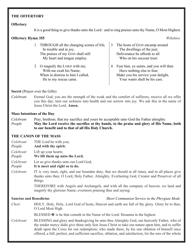#### THE OFFERTORY

#### **Offertory**

It is a good thing to give thanks unto the Lord : and to sing praises unto thy Name, O Most Highest.

### **Offertory Hymn 355** Wiltshire

- 1 THROUGH all the changing scenes of life, In trouble and in joy, The praises of my GOD shall still My heart and tongue employ.
- 2 O magnify the LORD with me, With me exalt his Name; When in distress to him I called, He to my rescue came.
- 3 The hosts of GOD encamp around The dwellings of the just; Deliverance he affords to all Who on his succour trust.
- 4 Fear him, ye saints, and you will then Have nothing else to fear; Make you his service your delight, Your wants shall be his care.

#### Secret (Prayer over the Gifts)

Celebrant Eternal God, you are the strength of the weak and the comfort of sufferers, receive all we offer you this day; turn our sickness into health and our sorrow into joy. We ask this in the name of Jesus Christ the Lord. Amen.

#### Mass Intentions of the Day

Celebrant Pray, brethren, that my sacrifice and yours be acceptable unto God the Father almighty.

People May the Lord receive the sacrifice at thy hands, to the praise and glory of His Name, both to our benefit and to that of all His Holy Church.

#### THE CANON OF THE MASS

- Celebrant THE Lord be with you;
- People And with thy spirit.
- Celebrant Lift up your hearts;
- People We lift them up unto the Lord.
- Celebrant Let us give thanks unto our Lord God;

People It is meet and right so to do.

Celebrant IT is very meet, right, and our bounden duty, that we should at all times, and in all places give thanks unto thee, O Lord, Holy Father, Almighty, Everlasting God, Creator and Preserver of all things.

> THEREFORE with Angels and Archangels, and with all the company of heaven, we laud and magnify thy glorious Name; evermore praising thee and saying:

#### Sanctus and Benedictus Short Communion Service in the Phrygian Mode

Choir HOLY, Holy, Holy, Lord God of hosts, Heaven and earth are full of thy glory. Glory be to thee, O Lord Most High.

BLESSED  $\mathbf \Psi$  is he that cometh in the Name of the Lord: Hosanna in the highest.

Celebrant BLESSING and glory and thanksgiving be unto thee Almighty God, our heavenly Father, who of thy tender mercy didst give thine only Son Jesus Christ to take our nature upon him, and to suffer death upon the Cross for our redemption; who made there, by his one oblation of himself once offered, a full, perfect, and sufficient sacrifice, oblation, and satisfaction, for the sins of the whole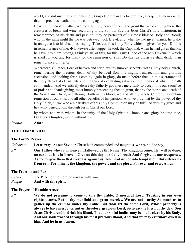world; and did institute, and in his holy Gospel command us to continue, a perpetual memorial of that his precious death, until his coming again.

Hear us, O merciful Father, we most humbly beseech thee; and grant that we receiving these thy creatures of bread and wine, according to thy Son our Saviour Jesus Christ's holy institution, in remembrance of his death and passion, may be partakers of his most blessed Body and Blood; who, in the same night that he was betrayed, took Bread; and, when he had given thanks, he brake it; and gave it to his disciples, saying, Take, eat; this is my Body which is given for you: Do this in remembrance of me.  $\mathbf \Psi$  Likewise after supper he took the Cup; and, when he had given thanks, he gave it to them, saying, Drink ye all, of this; for this is my Blood of the new Covenant, which is shed for you and for many for the remission of sins: Do this, as oft as ye shall drink it, in remembrance of me.  $\mathbf{\ddot{H}}$ 

Wherefore, O Father, Lord of heaven and earth, we thy humble servants, with all thy holy Church, remembering the precious death of thy beloved Son, his mighty resurrection, and glorious ascension, and looking for his coming again in glory, do make before thee, in this sacrament of the holy Bread of eternal life and the Cup of everlasting salvation, the memorial which he hath commanded; And we entirely desire thy fatherly goodness mercifully to accept this our sacrifice of praise and thanksgiving, most humbly beseeching thee to grant, that by the merits and death of thy Son Jesus Christ, and through faith in his blood, we and all thy whole Church may obtain remission of our sins, and all other benefits of his passion; And we pray that by the power of thy Holy Spirit, all we who are partakers of this holy Communion may be fulfilled with thy grace and heavenly benediction; through Jesus Christ our Lord,

by whom and with whom, in the unity of the Holy Spirit, all honour and glory be unto thee, O Father Almighty, world without end.

#### People Amen.

#### THE COMMUNION

#### The Lord's Prayer

Celebrant Let us pray. As our Saviour Christ hath commanded and taught us, we are bold to say,

All **Our Father who art in heaven, Hallowed be thy Name, Thy kingdom come, Thy will be done,** on earth as it is in heaven. Give us this day our daily bread; And forgive us our trespasses, As we forgive them that trespass against us; And lead us not into temptation, But deliver us from evil. For thine is the kingdom, the power, and the glory, For ever and ever. Amen.

#### The Fraction and Pax

Celebrant The Peace of the Lord be always with you. People And with thy spirit.

#### The Prayer of Humble Access

 $All$  We do not presume to come to this thy Table, O merciful Lord, Trusting in our own righteousness, But in thy manifold and great mercies. We are not worthy So much as to gather up the crumbs under thy Table. But thou art the same Lord, Whose property is always to have mercy: Grant us therefore, gracious Lord, So to eat the Flesh of thy dear Son Jesus Christ, And to drink his Blood, That our sinful bodies may be made clean by his Body, And our souls washed through his most precious Blood, And that we may evermore dwell in him, And he in us. Amen.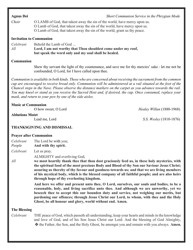| <b>Agnus Dei</b>               | Short Communion Service in the Phrygian Mode                                                                                                                                                                                        |
|--------------------------------|-------------------------------------------------------------------------------------------------------------------------------------------------------------------------------------------------------------------------------------|
| Choir                          | O LAMB of God, that takest away the sin of the world, have mercy upon us.<br>O Lamb of God, that takest away the sin of the world, have mercy upon us.<br>O Lamb of God, that takest away the sin of the world, grant us thy peace. |
| <b>Invitation to Communion</b> |                                                                                                                                                                                                                                     |
| Celebrant<br>All               | Behold the Lamb of God<br>Lord, I am not worthy that Thou shouldest come under my roof,<br>but speak the word only and my soul shall be healed.                                                                                     |
| <b>Communion</b>               |                                                                                                                                                                                                                                     |
|                                | Shew thy servant the light of thy countenance, and save me for thy mercies' sake : let me not be<br>confounded, O Lord, for I have called upon thee.                                                                                |

Communion is available in both kinds. Those who are concerned about receiving the sacrament from the common cup are encouraged to receive bread only. Communion will be administered at a rail situated at the foot of the Chancel steps in the Nave. Please observe the distance markers on the carpet as you advance towards the rail. You may kneel or stand as you receive the Sacred Host and, if desired, the cup. Once consumed, replace your mask, and return to your pew by one of the side aisles.

#### Music at Communion

Ablutions Motet

O how sweet, O Lord Healey Willan (1880-1968)

Lead me, Lord S.S. Wesley (1810-1876)

### THANKSGIVING AND DISMISSAL

#### Prayer after Communion

Celebrant The Lord be with you; People And with thy spirit.

Celebrant Let us pray.

ALMIGHTY and everliving God,

All we most heartily thank thee that thou dost graciously feed us, in these holy mysteries, with the spiritual food of the most precious Body and Blood of thy Son our Saviour Jesus Christ; assuring us thereby of thy favour and goodness towards us; and that we are living members of his mystical body, which is the blessed company of all faithful people; and are also heirs through hope of thy everlasting kingdom.

> And here we offer and present unto thee, O Lord, ourselves, our souls and bodies, to be a reasonable, holy, and living sacrifice unto thee. And although we are unworthy, yet we beseech thee to accept this our bounden duty and service, not weighing our merits, but pardoning our offences; through Jesus Christ our Lord, to whom, with thee and the Holy Ghost, be all honour and glory, world without end. Amen.

#### The Blessing

Celebrant THE peace of God, which passeth all understanding, keep your hearts and minds in the knowledge and love of God, and of his Son Jesus Christ our Lord: And the blessing of God Almighty, ✠ the Father, the Son, and the Holy Ghost, be amongst you and remain with you always. Amen.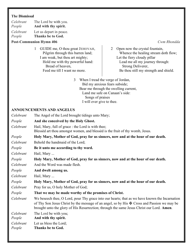#### The Dismissal

| The Lord be with you.                                             |
|-------------------------------------------------------------------|
| And with thy spirit.                                              |
| Let us depart in peace.<br>$\mathbf{m}$ $\mathbf{m}$ $\mathbf{m}$ |
|                                                                   |

People Thanks be to God.

### Post-Communion Hymn 406 Cwm Rhondda

1 GUIDE me, O thou great JEHOVAH, Pilgrim through this barren land; I am weak, but thou art mighty; Hold me with thy powerful hand: Bread of heaven, Feed me till I want no more.

2 Open now the crystal fountain, Whence the healing stream doth flow; Let the fiery cloudy pillar Lead me all my journey through: Strong Deliverer, Be thou still my strength and shield.

3 When I tread the verge of Jordan, Bid my anxious fears subside; Bear me through the swelling current, Land me safe on Canaan's side: Songs of praises I will ever give to thee.

#### ANNOUNCEMENTS AND ANGELUS

Celebrant The Angel of the Lord brought tidings unto Mary; People And she conceived by the Holy Ghost. Celebrant Hail, Mary, full of grace : the Lord is with thee; Blessèd art thou amongst women, and blessèd is the fruit of thy womb, Jesus. People Holy Mary, Mother of God, pray for us sinners, now and at the hour of our death. Celebrant Behold the handmaid of the Lord; People Be it unto me according to thy word. Celebrant Hail, Mary ... People Holy Mary, Mother of God, pray for us sinners, now and at the hour of our death. Celebrant And the Word was made flesh. People And dwelt among us. Celebrant Hail, Mary ... People Holy Mary, Mother of God, pray for us sinners, now and at the hour of our death. Celebrant Pray for us, O holy Mother of God; People That we may be made worthy of the promises of Christ. Celebrant We beseech thee, O Lord, pour Thy grace into our hearts; that as we have known the Incarnation of Thy Son Jesus Christ by the message of an angel, so by His  $\mathbf{\ddot{F}}$  Cross and Passion we may be brought unto the glory of His Resurrection; through the same Jesus Christ our Lord. Amen. Celebrant The Lord be with you; People And with thy spirit. Celebrant Let us bless the Lord; People Thanks be to God.